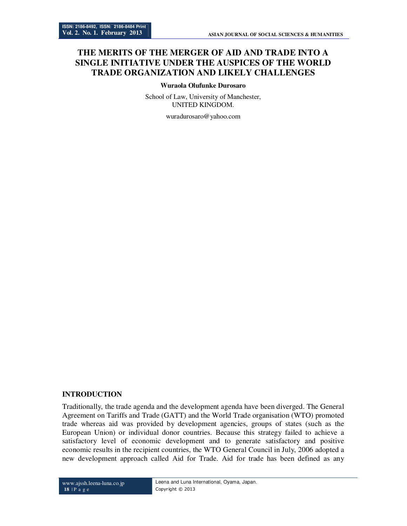# **THE MERITS OF THE MERGER OF AID AND TRADE INTO A SINGLE INITIATIVE UNDER THE AUSPICES OF THE WORLD TRADE ORGANIZATION AND LIKELY CHALLENGES**

#### **Wuraola Olufunke Durosaro**

School of Law, University of Manchester, UNITED KINGDOM.

wuradurosaro@yahoo.com

#### **INTRODUCTION**

Traditionally, the trade agenda and the development agenda have been diverged. The General Agreement on Tariffs and Trade (GATT) and the World Trade organisation (WTO) promoted trade whereas aid was provided by development agencies, groups of states (such as the European Union) or individual donor countries. Because this strategy failed to achieve a satisfactory level of economic development and to generate satisfactory and positive economic results in the recipient countries, the WTO General Council in July, 2006 adopted a new development approach called Aid for Trade. Aid for trade has been defined as any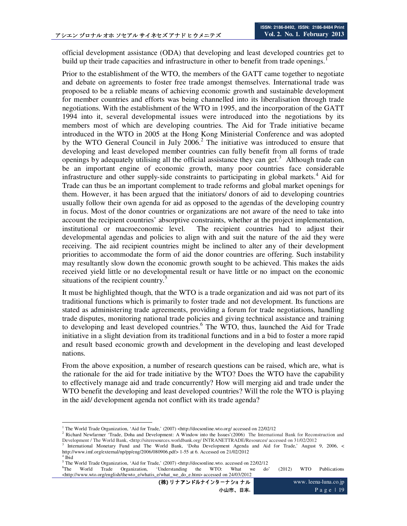official development assistance (ODA) that developing and least developed countries get to build up their trade capacities and infrastructure in other to benefit from trade openings.<sup>1</sup>

Prior to the establishment of the WTO, the members of the GATT came together to negotiate and debate on agreements to foster free trade amongst themselves. International trade was proposed to be a reliable means of achieving economic growth and sustainable development for member countries and efforts was being channelled into its liberalisation through trade negotiations. With the establishment of the WTO in 1995, and the incorporation of the GATT 1994 into it, several developmental issues were introduced into the negotiations by its members most of which are developing countries. The Aid for Trade initiative became introduced in the WTO in 2005 at the Hong Kong Ministerial Conference and was adopted by the WTO General Council in July  $2006<sup>2</sup>$ . The initiative was introduced to ensure that developing and least developed member countries can fully benefit from all forms of trade openings by adequately utilising all the official assistance they can get.<sup>3</sup> Although trade can be an important engine of economic growth, many poor countries face considerable infrastructure and other supply-side constraints to participating in global markets.<sup>4</sup> Aid for Trade can thus be an important complement to trade reforms and global market openings for them. However, it has been argued that the initiators/ donors of aid to developing countries usually follow their own agenda for aid as opposed to the agendas of the developing country in focus. Most of the donor countries or organizations are not aware of the need to take into account the recipient countries' absorptive constraints, whether at the project implementation, institutional or macroeconomic level. The recipient countries had to adjust their developmental agendas and policies to align with and suit the nature of the aid they were receiving. The aid recipient countries might be inclined to alter any of their development priorities to accommodate the form of aid the donor countries are offering. Such instability may resultantly slow down the economic growth sought to be achieved. This makes the aids received yield little or no developmental result or have little or no impact on the economic situations of the recipient country.<sup>5</sup>

It must be highlighted though, that the WTO is a trade organization and aid was not part of its traditional functions which is primarily to foster trade and not development. Its functions are stated as administering trade agreements, providing a forum for trade negotiations, handling trade disputes, monitoring national trade policies and giving technical assistance and training to developing and least developed countries.<sup>6</sup> The WTO, thus, launched the Aid for Trade initiative in a slight deviation from its traditional functions and in a bid to foster a more rapid and result based economic growth and development in the developing and least developed nations.

From the above exposition, a number of research questions can be raised, which are, what is the rationale for the aid for trade initiative by the WTO? Does the WTO have the capability to effectively manage aid and trade concurrently? How will merging aid and trade under the WTO benefit the developing and least developed countries? Will the role the WTO is playing in the aid/ development agenda not conflict with its trade agenda?

(株) リナアンドルナインターナショナル 小山市、日本**.**

www. leena-luna.co.jp P a g e 1 19

<sup>-</sup><sup>1</sup> The World Trade Organization, 'Aid for Trade,' (2007) <http://docsonline.wto.org/ accessed on 22/02/12

<sup>&</sup>lt;sup>2</sup> Richard Newfarmer 'Trade, Doha and Development: A Window into the Issues'(2006) The International Bank for Reconstruction and Development / The World Bank, <http://siteresources.worldbank.org/ INTRANETTRADE/Resources/ accessed on 31/02/2012

<sup>3</sup> International Monetary Fund and The World Bank, 'Doha Development Agenda and Aid for Trade,' August 9, 2006, < http://www.imf.org/external/np/pp/eng/2006/080906.pdf> 1-55 at 6. Accessed on 21/02/2012

<sup>4</sup> Ibid

<sup>5</sup> The World Trade Organization, 'Aid for Trade,' (2007) <http://docsonline.wto. accessed on 22/02/12

 ${}^{6}$ The World Trade Organization, 'Understanding the WTO: What we do' (2012) WTO Publications <http://www.wto.org/english/thewto\_e/whatis\_e/what\_we\_do\_e.htm> accessed on 24/03/2012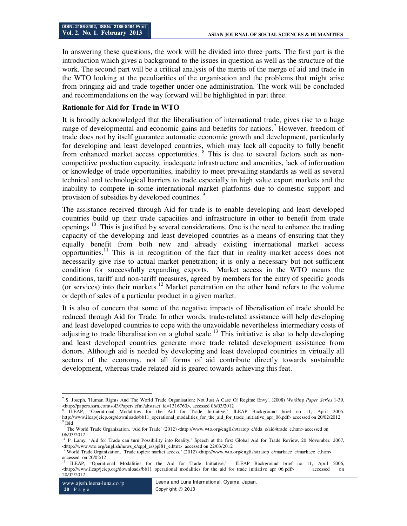In answering these questions, the work will be divided into three parts. The first part is the introduction which gives a background to the issues in question as well as the structure of the work. The second part will be a critical analysis of the merits of the merge of aid and trade in the WTO looking at the peculiarities of the organisation and the problems that might arise from bringing aid and trade together under one administration. The work will be concluded and recommendations on the way forward will be highlighted in part three.

## **Rationale for Aid for Trade in WTO**

It is broadly acknowledged that the liberalisation of international trade, gives rise to a huge range of developmental and economic gains and benefits for nations.<sup>7</sup> However, freedom of trade does not by itself guarantee automatic economic growth and development, particularly for developing and least developed countries, which may lack all capacity to fully benefit from enhanced market access opportunities. <sup>8</sup> This is due to several factors such as noncompetitive production capacity, inadequate infrastructure and amenities, lack of information or knowledge of trade opportunities, inability to meet prevailing standards as well as several technical and technological barriers to trade especially in high value export markets and the inability to compete in some international market platforms due to domestic support and provision of subsidies by developed countries.<sup>9</sup>

The assistance received through Aid for trade is to enable developing and least developed countries build up their trade capacities and infrastructure in other to benefit from trade openings.<sup>10</sup> This is justified by several considerations. One is the need to enhance the trading capacity of the developing and least developed countries as a means of ensuring that they equally benefit from both new and already existing international market access opportunities.<sup>11</sup> This is in recognition of the fact that in reality market access does not necessarily give rise to actual market penetration; it is only a necessary but not sufficient condition for successfully expanding exports. Market access in the WTO means the conditions, tariff and non-tariff measures, agreed by members for the entry of specific goods (or services) into their markets.<sup>12</sup> Market penetration on the other hand refers to the volume or depth of sales of a particular product in a given market.

It is also of concern that some of the negative impacts of liberalisation of trade should be reduced through Aid for Trade. In other words, trade-related assistance will help developing and least developed countries to cope with the unavoidable nevertheless intermediary costs of adjusting to trade liberalisation on a global scale.<sup>13</sup> This initiative is also to help developing and least developed countries generate more trade related development assistance from donors. Although aid is needed by developing and least developed countries in virtually all sectors of the economy, not all forms of aid contribute directly towards sustainable development, whereas trade related aid is geared towards achieving this feat.

 7 S. Joseph, 'Human Rights And The World Trade Organisation: Not Just A Case Of Regime Envy', (2008) *Working Paper Series* 1-39. <http://papers.ssrn.com/sol3/Papers.cfm?abstract\_id=1316760>, accessed 06/03/2012

<sup>8</sup> ILEAP, 'Operational Modalities for the Aid for Trade Initiative,' ILEAP Background brief no 11, April 2006. http://www.ileap/jeicp.org/downloads/bb11\_operational\_modalities\_for\_the\_aid\_for\_trade\_initiative\_apr\_06.pdf> accessed on 20/02/2012 <sup>9</sup> Ibid

<sup>&</sup>lt;sup>10</sup> The World Trade Organization, 'Aid for Trade' (2012) <http://www.wto.org/english/tratop\_e/dda\_e/aid4trade\_e.htm> accessed on 06/03/2012

<sup>&</sup>lt;sup>11</sup> P. Lamy, 'Aid for Trade can turn Possibility into Reality,' Speech at the first Global Aid for Trade Review, 20 November, 2007, <http://www.wto.org/english/news\_e/sppl\_e/sppl81\_e.htm> accessed on 22/03/2012

<sup>12</sup> World Trade Organization, 'Trade topics: market access,' (2012) <http://www.wto.org/english/tratop\_e/markacc\_e/markacc\_e.htm> accessed on 20/02/12

<sup>13</sup> ILEAP, 'Operational Modalities for the Aid for Trade Initiative,' ILEAP Background brief no 11, April 2006, <http://www.ileap/jeicp.org/downloads/bb11\_operational\_modalities\_for\_the\_aid\_for\_trade\_initiative\_apr\_06.pdf> accessed on 20/02/2012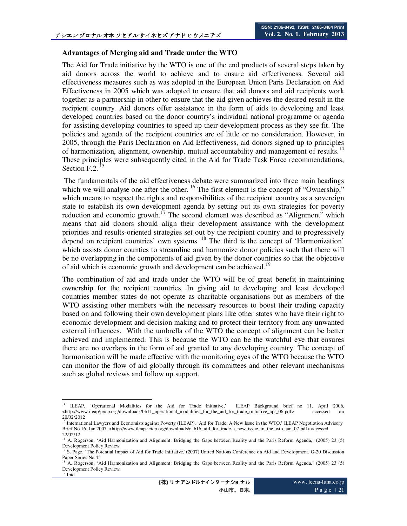### **Advantages of Merging aid and Trade under the WTO**

The Aid for Trade initiative by the WTO is one of the end products of several steps taken by aid donors across the world to achieve and to ensure aid effectiveness. Several aid effectiveness measures such as was adopted in the European Union Paris Declaration on Aid Effectiveness in 2005 which was adopted to ensure that aid donors and aid recipients work together as a partnership in other to ensure that the aid given achieves the desired result in the recipient country. Aid donors offer assistance in the form of aids to developing and least developed countries based on the donor country's individual national programme or agenda for assisting developing countries to speed up their development process as they see fit. The policies and agenda of the recipient countries are of little or no consideration. However, in 2005, through the Paris Declaration on Aid Effectiveness, aid donors signed up to principles of harmonization, alignment, ownership, mutual accountability and management of results.<sup>14</sup> These principles were subsequently cited in the Aid for Trade Task Force recommendations, Section F.2.<sup>15</sup>

 The fundamentals of the aid effectiveness debate were summarized into three main headings which we will analyse one after the other.<sup>16</sup> The first element is the concept of "Ownership," which means to respect the rights and responsibilities of the recipient country as a sovereign state to establish its own development agenda by setting out its own strategies for poverty reduction and economic growth.<sup>17</sup> The second element was described as "Alignment" which means that aid donors should align their development assistance with the development priorities and results-oriented strategies set out by the recipient country and to progressively depend on recipient countries' own systems.<sup>18</sup> The third is the concept of 'Harmonization' which assists donor counties to streamline and harmonize donor policies such that there will be no overlapping in the components of aid given by the donor countries so that the objective of aid which is economic growth and development can be achieved.<sup>19</sup>

The combination of aid and trade under the WTO will be of great benefit in maintaining ownership for the recipient countries. In giving aid to developing and least developed countries member states do not operate as charitable organisations but as members of the WTO assisting other members with the necessary resources to boost their trading capacity based on and following their own development plans like other states who have their right to economic development and decision making and to protect their territory from any unwanted external influences. With the umbrella of the WTO the concept of alignment can be better achieved and implemented. This is because the WTO can be the watchful eye that ensures there are no overlaps in the form of aid granted to any developing country. The concept of harmonisation will be made effective with the monitoring eyes of the WTO because the WTO can monitor the flow of aid globally through its committees and other relevant mechanisms such as global reviews and follow up support.

<sup>-</sup><sup>14</sup> ILEAP, 'Operational Modalities for the Aid for Trade Initiative,' ILEAP Background brief no 11, April 2006, <http://www.ileap/jeicp.org/downloads/bb11\_operational\_modalities\_for\_the\_aid\_for\_trade\_initiative\_apr\_06.pdf> accessed on 20/02/2012

<sup>&</sup>lt;sup>15</sup> International Lawyers and Economists against Poverty (ILEAP), 'Aid for Trade: A New Issue in the WTO,' ILEAP Negotiation Advisory Brief No 16, Jan 2007, <http://www.ileap-jeicp.org/downloads/nab16\_aid\_for\_trade-a\_new\_issue\_in\_the\_wto\_jan\_07.pdf> accessed

<sup>22/02/12&</sup>lt;br><sup>16</sup> A. Rogerson, 'Aid Harmonization and Alignment: Bridging the Gaps between Reality and the Paris Reform Agenda,' (2005) 23 (5)

Development Policy Review.<br><sup>17</sup> S. Page, 'The Potential Impact of Aid for Trade Initiative,'(2007) United Nations Conference on Aid and Development, G-20 Discussion Paper Series No 45

<sup>18</sup> A. Rogerson, 'Aid Harmonization and Alignment: Bridging the Gaps between Reality and the Paris Reform Agenda,' (2005) 23 (5) Development Policy Review.  $19$  Ibid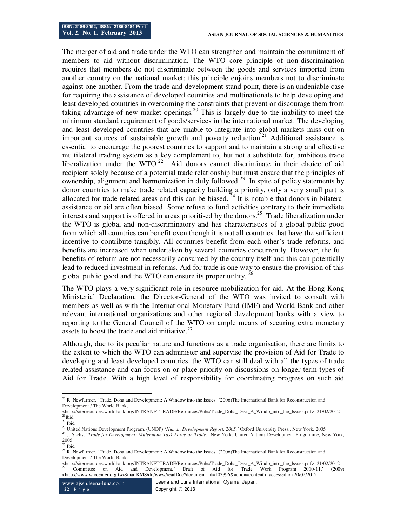The merger of aid and trade under the WTO can strengthen and maintain the commitment of members to aid without discrimination. The WTO core principle of non-discrimination requires that members do not discriminate between the goods and services imported from another country on the national market; this principle enjoins members not to discriminate against one another. From the trade and development stand point, there is an undeniable case for requiring the assistance of developed countries and multinationals to help developing and least developed countries in overcoming the constraints that prevent or discourage them from taking advantage of new market openings.<sup>20</sup> This is largely due to the inability to meet the minimum standard requirement of goods/services in the international market. The developing and least developed countries that are unable to integrate into global markets miss out on important sources of sustainable growth and poverty reduction.<sup>21</sup> Additional assistance is essential to encourage the poorest countries to support and to maintain a strong and effective multilateral trading system as a key complement to, but not a substitute for, ambitious trade liberalization under the  $WTO<sup>22</sup>$  Aid donors cannot discriminate in their choice of aid recipient solely because of a potential trade relationship but must ensure that the principles of ownership, alignment and harmonization in duly followed.<sup>23</sup> In spite of policy statements by donor countries to make trade related capacity building a priority, only a very small part is allocated for trade related areas and this can be biased.<sup>24</sup> It is notable that donors in bilateral assistance or aid are often biased. Some refuse to fund activities contrary to their immediate interests and support is offered in areas prioritised by the donors.<sup>25</sup> Trade liberalization under the WTO is global and non-discriminatory and has characteristics of a global public good from which all countries can benefit even though it is not all countries that have the sufficient incentive to contribute tangibly. All countries benefit from each other's trade reforms, and benefits are increased when undertaken by several countries concurrently. However, the full benefits of reform are not necessarily consumed by the country itself and this can potentially lead to reduced investment in reforms. Aid for trade is one way to ensure the provision of this global public good and the WTO can ensure its proper utility.  $^{26}$ 

The WTO plays a very significant role in resource mobilization for aid. At the Hong Kong Ministerial Declaration, the Director-General of the WTO was invited to consult with members as well as with the International Monetary Fund (IMF) and World Bank and other relevant international organizations and other regional development banks with a view to reporting to the General Council of the WTO on ample means of securing extra monetary assets to boost the trade and aid initiative.<sup>27</sup>

Although, due to its peculiar nature and functions as a trade organisation, there are limits to the extent to which the WTO can administer and supervise the provision of Aid for Trade to developing and least developed countries, the WTO can still deal with all the types of trade related assistance and can focus on or place priority on discussions on longer term types of Aid for Trade. With a high level of responsibility for coordinating progress on such aid

-

 $^{20}$  R. Newfarmer, 'Trade, Doha and Development: A Window into the Issues' (2006)The International Bank for Reconstruction and Development / The World Bank,

<sup>&</sup>lt;http://siteresources.worldbank.org/INTRANETTRADE/Resources/Pubs/Trade\_Doha\_Devt\_A\_Windo\_into\_the\_Issues.pdf> 21/02/2012 <sup>21</sup>Ibid.

 $22$  Ibid

<sup>&</sup>lt;sup>23</sup> United Nations Development Program, (UNDP) '*Human Development Report, 2005,'* Oxford University Press., New York, 2005

<sup>24</sup> J. Sachs, '*Trade for Development: Millennium Task Force on Trade*.' New York: United Nations Development Programme, New York, 2005

 $25$  Ibid

<sup>&</sup>lt;sup>26</sup> R. Newfarmer, 'Trade, Doha and Development: A Window into the Issues' (2006)The International Bank for Reconstruction and Development / The World Bank,

<sup>&</sup>lt;http://siteresources.worldbank.org/INTRANETTRADE/Resources/Pubs/Trade\_Doha\_Devt\_A\_Windo\_into\_the\_Issues.pdf> 21/02/2012 <sup>27</sup> Committee on Aid and Development,' Draft of Aid for Trade Work Program 2010-11,' (2009) <http://www.wtocenter.org.tw/SmartKMS/do/www/readDoc?document\_id=103396&action=content> accessed on 20/02/2012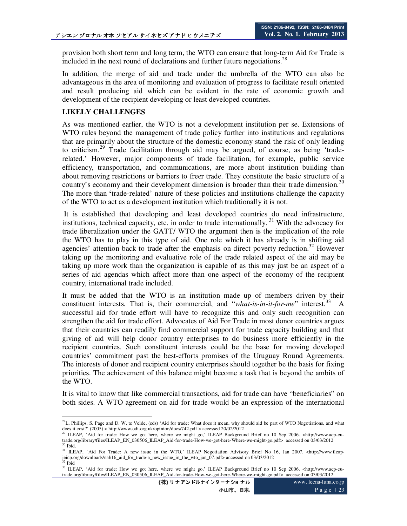provision both short term and long term, the WTO can ensure that long-term Aid for Trade is included in the next round of declarations and further future negotiations.<sup>28</sup>

In addition, the merge of aid and trade under the umbrella of the WTO can also be advantageous in the area of monitoring and evaluation of progress to facilitate result oriented and result producing aid which can be evident in the rate of economic growth and development of the recipient developing or least developed countries.

## **LIKELY CHALLENGES**

As was mentioned earlier, the WTO is not a development institution per se. Extensions of WTO rules beyond the management of trade policy further into institutions and regulations that are primarily about the structure of the domestic economy stand the risk of only leading to criticism.<sup>29</sup> Trade facilitation through aid may be argued, of course, as being 'traderelated.' However, major components of trade facilitation, for example, public service efficiency, transportation, and communications, are more about institution building than about removing restrictions or barriers to freer trade. They constitute the basic structure of a country's economy and their development dimension is broader than their trade dimension.<sup>30</sup> The more than **'**trade-related' nature of these policies and institutions challenge the capacity of the WTO to act as a development institution which traditionally it is not.

 It is established that developing and least developed countries do need infrastructure, institutions, technical capacity, etc. in order to trade internationally.<sup>31</sup> With the advocacy for trade liberalization under the GATT/ WTO the argument then is the implication of the role the WTO has to play in this type of aid. One role which it has already is in shifting aid agencies' attention back to trade after the emphasis on direct poverty reduction.<sup>32</sup> However taking up the monitoring and evaluative role of the trade related aspect of the aid may be taking up more work than the organization is capable of as this may just be an aspect of a series of aid agendas which affect more than one aspect of the economy of the recipient country, international trade included.

It must be added that the WTO is an institution made up of members driven by their constituent interests. That is, their commercial, and "*what-is-in-it-for-me*" interest.<sup>33</sup> successful aid for trade effort will have to recognize this and only such recognition can strengthen the aid for trade effort. Advocates of Aid For Trade in most donor countries argues that their countries can readily find commercial support for trade capacity building and that giving of aid will help donor country enterprises to do business more efficiently in the recipient countries. Such constituent interests could be the base for moving developed countries' commitment past the best-efforts promises of the Uruguay Round Agreements. The interests of donor and recipient country enterprises should together be the basis for fixing priorities. The achievement of this balance might become a task that is beyond the ambits of the WTO.

It is vital to know that like commercial transactions, aid for trade can have "beneficiaries" on both sides. A WTO agreement on aid for trade would be an expression of the international

<sup>-</sup> $^{28}$ L. Phillips, S. Page and D. W. te Velde, (eds) 'Aid for trade: What does it mean, why should aid be part of WTO Negotiations, and what does it cost?' (2005) < http://www.odi.org.uk/opinion/docs/742.pdf > accessed 20/02/2012

<sup>&</sup>lt;sup>29</sup> ILEAP, 'Aid for trade: How we got here, where we might go,' ILEAP Background Brief no 10 Sep 2006. <http://www.acp-eutrade.org/library/files/ILEAP\_EN\_030506\_ILEAP\_Aid-for-trade-How-we-got-here-Where-we-might-go.pdf> accessed on 03/03/2012  $30$  Ibid.

<sup>&</sup>lt;sup>31</sup> ILEAP, 'Aid For Trade: A new issue in the WTO,' ILEAP Negotiation Advisory Brief No 16, Jan 2007, <http://www.ileapjeicp.org/downloads/nab16\_aid\_for\_trade-a\_new\_issue\_in\_the\_wto\_jan\_07.pdf> accessed on 03/03/2012 <sup>32</sup> Ibid

<sup>&</sup>lt;sup>33</sup> ILEAP, 'Aid for trade: How we got here, where we might go,' ILEAP Background Brief no 10 Sep 2006. <http://www.acp-eutrade.org/library/files/ILEAP\_EN\_030506\_ILEAP\_Aid-for-trade-How-we-got-here-Where-we-might-go.pdf> accessed on 03/03/2012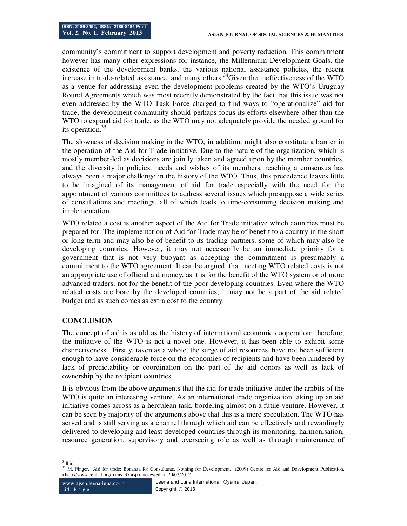community's commitment to support development and poverty reduction. This commitment however has many other expressions for instance, the Millennium Development Goals, the existence of the development banks, the various national assistance policies, the recent increase in trade-related assistance, and many others.<sup>34</sup>Given the ineffectiveness of the WTO as a venue for addressing even the development problems created by the WTO's Uruguay Round Agreements which was most recently demonstrated by the fact that this issue was not even addressed by the WTO Task Force charged to find ways to "operationalize" aid for trade, the development community should perhaps focus its efforts elsewhere other than the WTO to expand aid for trade, as the WTO may not adequately provide the needed ground for its operation. $35$ 

The slowness of decision making in the WTO, in addition, might also constitute a barrier in the operation of the Aid for Trade initiative. Due to the nature of the organization, which is mostly member-led as decisions are jointly taken and agreed upon by the member countries, and the diversity in policies, needs and wishes of its members, reaching a consensus has always been a major challenge in the history of the WTO. Thus, this precedence leaves little to be imagined of its management of aid for trade especially with the need for the appointment of various committees to address several issues which presuppose a wide series of consultations and meetings, all of which leads to time-consuming decision making and implementation.

WTO related a cost is another aspect of the Aid for Trade initiative which countries must be prepared for. The implementation of Aid for Trade may be of benefit to a country in the short or long term and may also be of benefit to its trading partners, some of which may also be developing countries. However, it may not necessarily be an immediate priority for a government that is not very buoyant as accepting the commitment is presumably a commitment to the WTO agreement. It can be argued that meeting WTO related costs is not an appropriate use of official aid money, as it is for the benefit of the WTO system or of more advanced traders, not for the benefit of the poor developing countries. Even where the WTO related costs are bore by the developed countries; it may not be a part of the aid related budget and as such comes as extra cost to the country.

## **CONCLUSION**

The concept of aid is as old as the history of international economic cooperation; therefore, the initiative of the WTO is not a novel one. However, it has been able to exhibit some distinctiveness. Firstly, taken as a whole, the surge of aid resources, have not been sufficient enough to have considerable force on the economies of recipients and have been hindered by lack of predictability or coordination on the part of the aid donors as well as lack of ownership by the recipient countries

It is obvious from the above arguments that the aid for trade initiative under the ambits of the WTO is quite an interesting venture. As an international trade organization taking up an aid initiative comes across as a herculean task, bordering almost on a futile venture. However, it can be seen by majority of the arguments above that this is a mere speculation. The WTO has served and is still serving as a channel through which aid can be effectively and rewardingly delivered to developing and least developed countries through its monitoring, harmonisation, resource generation, supervisory and overseeing role as well as through maintenance of

<sup>-</sup> $34$ Ibid.

<sup>&</sup>lt;sup>35</sup> M. Finger, 'Aid for trade: Bonanza for Consultants, Nothing for Development,' (2009) Centre for Aid and Development Publication, <http://www.centad.org/focus\_37.asp> accessed on 20/02/2012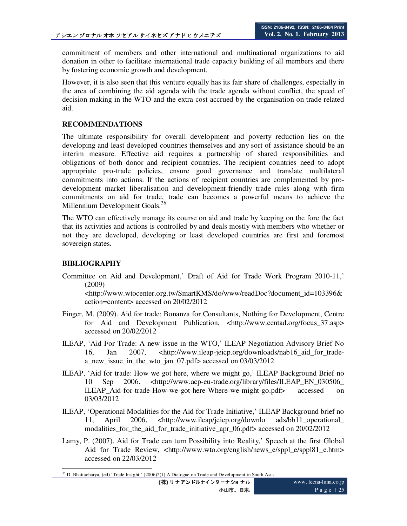commitment of members and other international and multinational organizations to aid donation in other to facilitate international trade capacity building of all members and there by fostering economic growth and development.

However, it is also seen that this venture equally has its fair share of challenges, especially in the area of combining the aid agenda with the trade agenda without conflict, the speed of decision making in the WTO and the extra cost accrued by the organisation on trade related aid.

## **RECOMMENDATIONS**

The ultimate responsibility for overall development and poverty reduction lies on the developing and least developed countries themselves and any sort of assistance should be an interim measure. Effective aid requires a partnership of shared responsibilities and obligations of both donor and recipient countries. The recipient countries need to adopt appropriate pro-trade policies, ensure good governance and translate multilateral commitments into actions. If the actions of recipient countries are complemented by prodevelopment market liberalisation and development-friendly trade rules along with firm commitments on aid for trade, trade can becomes a powerful means to achieve the Millennium Development Goals.<sup>36</sup>

The WTO can effectively manage its course on aid and trade by keeping on the fore the fact that its activities and actions is controlled by and deals mostly with members who whether or not they are developed, developing or least developed countries are first and foremost sovereign states.

## **BIBLIOGRAPHY**

Committee on Aid and Development,' Draft of Aid for Trade Work Program 2010-11,' (2009)

<http://www.wtocenter.org.tw/SmartKMS/do/www/readDoc?document\_id=103396& action=content> accessed on 20/02/2012

- Finger, M. (2009). Aid for trade: Bonanza for Consultants, Nothing for Development, Centre for Aid and Development Publication, <http://www.centad.org/focus 37.asp> accessed on 20/02/2012
- ILEAP, 'Aid For Trade: A new issue in the WTO,' ILEAP Negotiation Advisory Brief No 16, Jan 2007, <http://www.ileap-jeicp.org/downloads/nab16 aid for tradea\_new\_issue\_in\_the\_wto\_jan\_07.pdf> accessed on 03/03/2012
- ILEAP, 'Aid for trade: How we got here, where we might go,' ILEAP Background Brief no 10 Sep 2006. <http://www.acp-eu-trade.org/library/files/ILEAP\_EN\_030506\_ ILEAP\_Aid-for-trade-How-we-got-here-Where-we-might-go.pdf> accessed on 03/03/2012
- ILEAP, 'Operational Modalities for the Aid for Trade Initiative,' ILEAP Background brief no 11, April 2006, <http://www.ileap/jeicp.org/downlo ads/bb11\_operational\_ modalities\_for\_the\_aid\_for\_trade\_initiative\_apr\_06.pdf> accessed on 20/02/2012
- Lamy, P. (2007). Aid for Trade can turn Possibility into Reality,' Speech at the first Global Aid for Trade Review, <http://www.wto.org/english/news e/sppl e/sppl81 e.htm> accessed on 22/03/2012

<sup>-</sup><sup>36</sup> D. Bhattacharya, (ed) 'Trade Insight,' (2006)2(1) A Dialogue on Trade and Development in South Asia